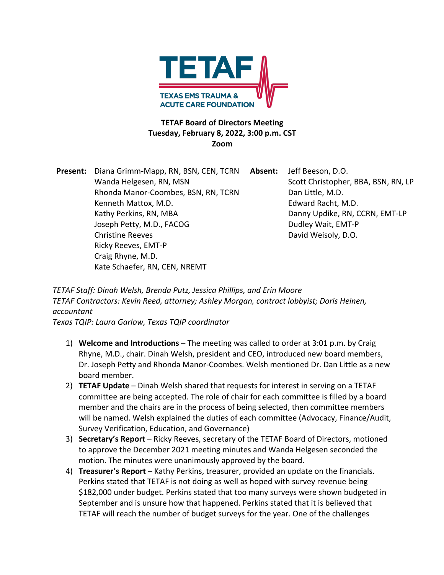

## **TETAF Board of Directors Meeting Tuesday, February 8, 2022, 3:00 p.m. CST Zoom**

**Present:** Diana Grimm-Mapp, RN, BSN, CEN, TCRN **Absent:** Jeff Beeson, D.O. Wanda Helgesen, RN, MSN Scott Christopher, BBA, BSN, RN, LP Rhonda Manor-Coombes, BSN, RN, TCRN Dan Little, M.D. Kenneth Mattox, M.D. **Edward Racht**, M.D. Kathy Perkins, RN, MBA **Danny Updike, RN, CCRN, EMT-LP** Joseph Petty, M.D., FACOG Dudley Wait, EMT-P Christine Reeves **David Weisoly**, D.O. Ricky Reeves, EMT-P Craig Rhyne, M.D. Kate Schaefer, RN, CEN, NREMT

*TETAF Staff: Dinah Welsh, Brenda Putz, Jessica Phillips, and Erin Moore TETAF Contractors: Kevin Reed, attorney; Ashley Morgan, contract lobbyist; Doris Heinen, accountant* 

*Texas TQIP: Laura Garlow, Texas TQIP coordinator* 

- 1) **Welcome and Introductions** The meeting was called to order at 3:01 p.m. by Craig Rhyne, M.D., chair. Dinah Welsh, president and CEO, introduced new board members, Dr. Joseph Petty and Rhonda Manor-Coombes. Welsh mentioned Dr. Dan Little as a new board member.
- 2) **TETAF Update** Dinah Welsh shared that requests for interest in serving on a TETAF committee are being accepted. The role of chair for each committee is filled by a board member and the chairs are in the process of being selected, then committee members will be named. Welsh explained the duties of each committee (Advocacy, Finance/Audit, Survey Verification, Education, and Governance)
- 3) **Secretary's Report** Ricky Reeves, secretary of the TETAF Board of Directors, motioned to approve the December 2021 meeting minutes and Wanda Helgesen seconded the motion. The minutes were unanimously approved by the board.
- 4) **Treasurer's Report**  Kathy Perkins, treasurer, provided an update on the financials. Perkins stated that TETAF is not doing as well as hoped with survey revenue being \$182,000 under budget. Perkins stated that too many surveys were shown budgeted in September and is unsure how that happened. Perkins stated that it is believed that TETAF will reach the number of budget surveys for the year. One of the challenges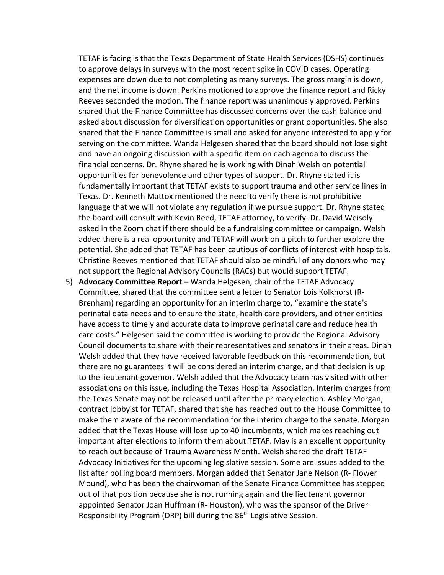TETAF is facing is that the Texas Department of State Health Services (DSHS) continues to approve delays in surveys with the most recent spike in COVID cases. Operating expenses are down due to not completing as many surveys. The gross margin is down, and the net income is down. Perkins motioned to approve the finance report and Ricky Reeves seconded the motion. The finance report was unanimously approved. Perkins shared that the Finance Committee has discussed concerns over the cash balance and asked about discussion for diversification opportunities or grant opportunities. She also shared that the Finance Committee is small and asked for anyone interested to apply for serving on the committee. Wanda Helgesen shared that the board should not lose sight and have an ongoing discussion with a specific item on each agenda to discuss the financial concerns. Dr. Rhyne shared he is working with Dinah Welsh on potential opportunities for benevolence and other types of support. Dr. Rhyne stated it is fundamentally important that TETAF exists to support trauma and other service lines in Texas. Dr. Kenneth Mattox mentioned the need to verify there is not prohibitive language that we will not violate any regulation if we pursue support. Dr. Rhyne stated the board will consult with Kevin Reed, TETAF attorney, to verify. Dr. David Weisoly asked in the Zoom chat if there should be a fundraising committee or campaign. Welsh added there is a real opportunity and TETAF will work on a pitch to further explore the potential. She added that TETAF has been cautious of conflicts of interest with hospitals. Christine Reeves mentioned that TETAF should also be mindful of any donors who may not support the Regional Advisory Councils (RACs) but would support TETAF.

5) **Advocacy Committee Report** – Wanda Helgesen, chair of the TETAF Advocacy Committee, shared that the committee sent a letter to Senator Lois Kolkhorst (R-Brenham) regarding an opportunity for an interim charge to, "examine the state's perinatal data needs and to ensure the state, health care providers, and other entities have access to timely and accurate data to improve perinatal care and reduce health care costs." Helgesen said the committee is working to provide the Regional Advisory Council documents to share with their representatives and senators in their areas. Dinah Welsh added that they have received favorable feedback on this recommendation, but there are no guarantees it will be considered an interim charge, and that decision is up to the lieutenant governor. Welsh added that the Advocacy team has visited with other associations on this issue, including the Texas Hospital Association. Interim charges from the Texas Senate may not be released until after the primary election. Ashley Morgan, contract lobbyist for TETAF, shared that she has reached out to the House Committee to make them aware of the recommendation for the interim charge to the senate. Morgan added that the Texas House will lose up to 40 incumbents, which makes reaching out important after elections to inform them about TETAF. May is an excellent opportunity to reach out because of Trauma Awareness Month. Welsh shared the draft TETAF Advocacy Initiatives for the upcoming legislative session. Some are issues added to the list after polling board members. Morgan added that Senator Jane Nelson (R- Flower Mound), who has been the chairwoman of the Senate Finance Committee has stepped out of that position because she is not running again and the lieutenant governor appointed Senator Joan Huffman (R- Houston), who was the sponsor of the Driver Responsibility Program (DRP) bill during the 86<sup>th</sup> Legislative Session.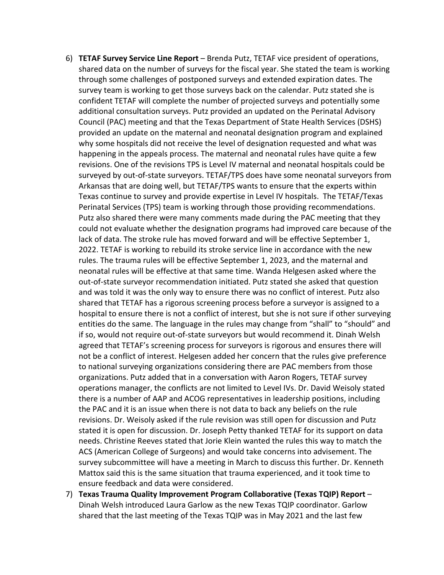- 6) **TETAF Survey Service Line Report** Brenda Putz, TETAF vice president of operations, shared data on the number of surveys for the fiscal year. She stated the team is working through some challenges of postponed surveys and extended expiration dates. The survey team is working to get those surveys back on the calendar. Putz stated she is confident TETAF will complete the number of projected surveys and potentially some additional consultation surveys. Putz provided an updated on the Perinatal Advisory Council (PAC) meeting and that the Texas Department of State Health Services (DSHS) provided an update on the maternal and neonatal designation program and explained why some hospitals did not receive the level of designation requested and what was happening in the appeals process. The maternal and neonatal rules have quite a few revisions. One of the revisions TPS is Level IV maternal and neonatal hospitals could be surveyed by out-of-state surveyors. TETAF/TPS does have some neonatal surveyors from Arkansas that are doing well, but TETAF/TPS wants to ensure that the experts within Texas continue to survey and provide expertise in Level IV hospitals. The TETAF/Texas Perinatal Services (TPS) team is working through those providing recommendations. Putz also shared there were many comments made during the PAC meeting that they could not evaluate whether the designation programs had improved care because of the lack of data. The stroke rule has moved forward and will be effective September 1, 2022. TETAF is working to rebuild its stroke service line in accordance with the new rules. The trauma rules will be effective September 1, 2023, and the maternal and neonatal rules will be effective at that same time. Wanda Helgesen asked where the out-of-state surveyor recommendation initiated. Putz stated she asked that question and was told it was the only way to ensure there was no conflict of interest. Putz also shared that TETAF has a rigorous screening process before a surveyor is assigned to a hospital to ensure there is not a conflict of interest, but she is not sure if other surveying entities do the same. The language in the rules may change from "shall" to "should" and if so, would not require out-of-state surveyors but would recommend it. Dinah Welsh agreed that TETAF's screening process for surveyors is rigorous and ensures there will not be a conflict of interest. Helgesen added her concern that the rules give preference to national surveying organizations considering there are PAC members from those organizations. Putz added that in a conversation with Aaron Rogers, TETAF survey operations manager, the conflicts are not limited to Level IVs. Dr. David Weisoly stated there is a number of AAP and ACOG representatives in leadership positions, including the PAC and it is an issue when there is not data to back any beliefs on the rule revisions. Dr. Weisoly asked if the rule revision was still open for discussion and Putz stated it is open for discussion. Dr. Joseph Petty thanked TETAF for its support on data needs. Christine Reeves stated that Jorie Klein wanted the rules this way to match the ACS (American College of Surgeons) and would take concerns into advisement. The survey subcommittee will have a meeting in March to discuss this further. Dr. Kenneth Mattox said this is the same situation that trauma experienced, and it took time to ensure feedback and data were considered.
- 7) **Texas Trauma Quality Improvement Program Collaborative (Texas TQIP) Report**  Dinah Welsh introduced Laura Garlow as the new Texas TQIP coordinator. Garlow shared that the last meeting of the Texas TQIP was in May 2021 and the last few